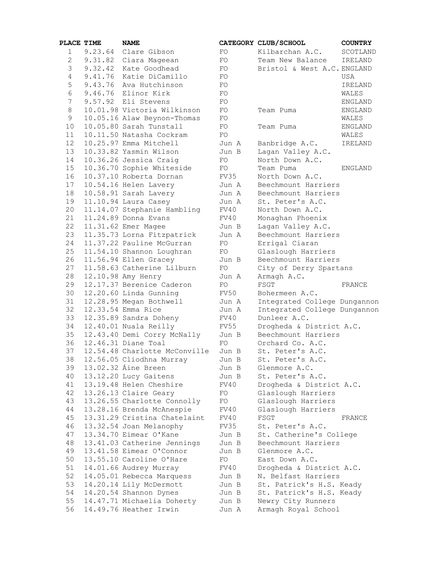| PLACE TIME     |         | <b>NAME</b>                                      |               | CATEGORY CLUB/SCHOOL              | <b>COUNTRY</b> |
|----------------|---------|--------------------------------------------------|---------------|-----------------------------------|----------------|
| $\mathbf{1}$   | 9.23.64 | Clare Gibson                                     | FO.           | Kilbarchan A.C.                   | SCOTLAN        |
| $\overline{2}$ |         | 9.31.82 Ciara Mageean                            | FO            | Team New Balance                  | IRELAND        |
| 3              |         | 9.32.42 Kate Goodhead                            | FO            | Bristol & West A.C. ENGLAND       |                |
| $\overline{4}$ |         | 9.41.76 Katie DiCamillo                          | FO            |                                   | USA            |
| 5              |         | 9.43.76 Ava Hutchinson                           | FO            |                                   | IRELAND        |
| 6              |         | 9.46.76 Elinor Kirk                              | FO            |                                   | WALES          |
| 7              |         | 9.57.92 Eli Stevens                              | FO            |                                   | <b>ENGLAND</b> |
| 8              |         | 10.01.98 Victoria Wilkinson                      | FO            | Team Puma                         | <b>ENGLAND</b> |
| 9              |         | 10.05.16 Alaw Beynon-Thomas                      | FO            |                                   | WALES          |
| 10             |         | 10.05.80 Sarah Tunstall                          | FO            | Team Puma                         | <b>ENGLAND</b> |
| 11             |         | 10.11.50 Natasha Cockram                         | FO            |                                   | WALES          |
| 12             |         | 10.25.97 Emma Mitchell                           | Jun A         | Banbridge A.C.                    | IRELAND        |
| 13             |         | 10.33.82 Yasmin Wilson                           | Jun B         | Lagan Valley A.C.                 |                |
| 14             |         | 10.36.26 Jessica Craig                           | FO            | North Down A.C.                   |                |
| 15             |         | 10.36.70 Sophie Whiteside                        | FO            | Team Puma                         | <b>ENGLAND</b> |
| 16             |         | 10.37.10 Roberta Dornan                          | FV35          | North Down A.C.                   |                |
| 17             |         | 10.54.16 Helen Lavery                            | Jun A         | Beechmount Harriers               |                |
| 18             |         | 10.58.91 Sarah Lavery                            | Jun A         | Beechmount Harriers               |                |
| 19             |         | 11.10.94 Laura Casey                             | Jun A         | St. Peter's A.C.                  |                |
| 20             |         | 11.14.07 Stephanie Hambling                      | FV40          | North Down A.C.                   |                |
| 21             |         | 11.24.89 Donna Evans                             | FV40          | Monaghan Phoenix                  |                |
| 22             |         | 11.31.62 Emer Magee                              | Jun B         | Lagan Valley A.C.                 |                |
| 23             |         | 11.35.73 Lorna Fitzpatrick                       | Jun A         | Beechmount Harriers               |                |
| 24             |         | 11.37.22 Pauline McGurran                        | FO            | Errigal Ciaran                    |                |
| 25             |         | 11.54.10 Shannon Loughran                        | FO            | Glaslough Harriers                |                |
| 26             |         | 11.56.94 Ellen Gracey                            | Jun B         | Beechmount Harriers               |                |
| 27             |         | 11.58.63 Catherine Lilburn                       | FO            | City of Derry Spartans            |                |
| 28             |         | 12.10.98 Amy Henry                               | Jun A         | Armagh A.C.                       |                |
| 29             |         | 12.17.37 Berenice Caderon                        | FO            | FSGT                              | FRANCE         |
| 30             |         | 12.20.60 Linda Gunning                           | FV50          | Bohermeen A.C.                    |                |
| 31             |         | 12.28.95 Megan Bothwell                          | Jun A         | Integrated College Dungann        |                |
| 32             |         | 12.33.54 Emma Rice                               | Jun A         | Integrated College Dungann        |                |
| 33             |         | 12.35.89 Sandra Doheny                           | FV40          | Dunleer A.C.                      |                |
| 34             |         | 12.40.01 Nuala Reilly                            | FV55          | Drogheda & District A.C.          |                |
| 35             |         | 12.43.40 Demi Corry McNally                      | Jun B         | Beechmount Harriers               |                |
| 36             |         | 12.46.31 Diane Toal                              | FO            | Orchard Co. A.C.                  |                |
| 37             |         | 12.54.48 Charlotte McConville                    | Jun B         | St. Peter's A.C.                  |                |
| 38             |         | 12.56.05 Cliodhna Murray                         | Jun B         | St. Peter's A.C.                  |                |
| 39             |         | 13.02.32 Áine Breen                              | Jun B         | Glenmore A.C.<br>St. Peter's A.C. |                |
| 40<br>41       |         | 13.12.20 Lucy Gaitens<br>13.19.48 Helen Cheshire | Jun B<br>FV40 | Drogheda & District A.C.          |                |
| 42             |         | 13.26.13 Claire Geary                            | FO            | Glaslough Harriers                |                |
| 43             |         | 13.26.55 Charlotte Connolly                      | FO            | Glaslough Harriers                |                |
| 44             |         | 13.28.16 Brenda McAnespie                        | FV40          | Glaslough Harriers                |                |
| 45             |         | 13.31.29 Cristina Chatelaint                     | FV40          | FSGT                              | FRANCE         |
| 46             |         | 13.32.54 Joan Melanophy                          | FV35          | St. Peter's A.C.                  |                |
| 47             |         | 13.34.70 Eimear O'Kane                           | Jun B         | St. Catherine's College           |                |
| 48             |         | 13.41.03 Catherine Jennings                      | Jun B         | Beechmount Harriers               |                |
| 49             |         | 13.41.58 Eimear O'Connor                         | Jun B         | Glenmore A.C.                     |                |
| 50             |         | 13.55.10 Caroline O'Hare                         | FO            | East Down A.C.                    |                |
| 51             |         | 14.01.66 Audrey Murray                           | FV40          | Drogheda & District A.C.          |                |
| 52             |         | 14.05.01 Rebecca Marquess                        | Jun B         | N. Belfast Harriers               |                |
| 53             |         | 14.20.14 Lily McDermott                          | Jun B         | St. Patrick's H.S. Keady          |                |
| 54             |         | 14.20.54 Shannon Dynes                           | Jun B         | St. Patrick's H.S. Keady          |                |
| 55             |         | 14.47.71 Michaelia Doherty                       | Jun B         | Newry City Runners                |                |
| 56             |         | 14.49.76 Heather Irwin                           | Jun A         | Armagh Royal School               |                |
|                |         |                                                  |               |                                   |                |

|                | <b>ACE TIME</b> | <b>NAME</b>                                              |               | CATEGORY CLUB/SCHOOL                     | <b>COUNTRY</b> |
|----------------|-----------------|----------------------------------------------------------|---------------|------------------------------------------|----------------|
| 1              | 9.23.64         | Clare Gibson                                             | FO            | Kilbarchan A.C.                          | SCOTLAND       |
| $\sqrt{2}$     |                 | 9.31.82 Ciara Mageean                                    | FO            | Team New Balance                         | IRELAND        |
| $\mathfrak{Z}$ |                 | 9.32.42 Kate Goodhead                                    | FO            | Bristol & West A.C. ENGLAND              |                |
| 4              |                 | 9.41.76 Katie DiCamillo                                  | FO            |                                          | USA            |
| $\mathsf S$    |                 | 9.43.76 Ava Hutchinson                                   | FO            |                                          | IRELAND        |
| $\sqrt{6}$     |                 | 9.46.76 Elinor Kirk                                      | FO            |                                          | WALES          |
| $\overline{7}$ |                 | 9.57.92 Eli Stevens                                      | FO            |                                          | ENGLAND        |
| 8              |                 | 10.01.98 Victoria Wilkinson                              | FO            | Team Puma                                | <b>ENGLAND</b> |
| 9              |                 | 10.05.16 Alaw Beynon-Thomas                              | FO            |                                          | WALES          |
| 10             |                 | 10.05.80 Sarah Tunstall                                  | FO            | Team Puma                                | <b>ENGLAND</b> |
| 11             |                 | 10.11.50 Natasha Cockram                                 | FO            |                                          | WALES          |
| 12             |                 | 10.25.97 Emma Mitchell                                   | Jun A         | Banbridge A.C.                           | IRELAND        |
| 13             |                 | 10.33.82 Yasmin Wilson                                   | Jun B         | Lagan Valley A.C.                        |                |
| 14             |                 | 10.36.26 Jessica Craig                                   | FO            | North Down A.C.                          |                |
| 15             |                 | 10.36.70 Sophie Whiteside                                | FO            | Team Puma                                | <b>ENGLAND</b> |
| 16             |                 | 10.37.10 Roberta Dornan                                  | FV35          | North Down A.C.                          |                |
| 17             |                 | 10.54.16 Helen Lavery                                    | Jun A         | Beechmount Harriers                      |                |
| 18             |                 | 10.58.91 Sarah Lavery                                    | Jun A         | Beechmount Harriers                      |                |
| 19             |                 | 11.10.94 Laura Casey                                     | Jun A         | St. Peter's A.C.                         |                |
| 20             |                 | 11.14.07 Stephanie Hambling                              | FV40          | North Down A.C.                          |                |
| 21             |                 | 11.24.89 Donna Evans                                     | FV40          | Monaghan Phoenix                         |                |
| 22             |                 | 11.31.62 Emer Magee                                      | Jun B         | Lagan Valley A.C.                        |                |
| 23             |                 | 11.35.73 Lorna Fitzpatrick                               | Jun A         | Beechmount Harriers                      |                |
| 24             |                 | 11.37.22 Pauline McGurran                                | FO            | Errigal Ciaran                           |                |
| 25             |                 | 11.54.10 Shannon Loughran                                | FO            | Glaslough Harriers                       |                |
| 26             |                 | 11.56.94 Ellen Gracey                                    | Jun B         | Beechmount Harriers                      |                |
| 27             |                 | 11.58.63 Catherine Lilburn                               | FO            | City of Derry Spartans                   |                |
| 28             |                 | 12.10.98 Amy Henry                                       | Jun A         | Armagh A.C.                              |                |
| 29             |                 | 12.17.37 Berenice Caderon                                | FO            | FSGT                                     | FRANCE         |
| 30             |                 | 12.20.60 Linda Gunning                                   | FV50          | Bohermeen A.C.                           |                |
| 31             |                 | 12.28.95 Megan Bothwell                                  | Jun A         | Integrated College Dungannon             |                |
| 32             |                 | 12.33.54 Emma Rice                                       | Jun A         | Integrated College Dungannon             |                |
| 33             |                 | 12.35.89 Sandra Doheny                                   | FV40          | Dunleer A.C.                             |                |
| 34             |                 | 12.40.01 Nuala Reilly                                    | FV55          | Drogheda & District A.C.                 |                |
| 35             |                 | 12.43.40 Demi Corry McNally                              | Jun B         | Beechmount Harriers                      |                |
| 36             |                 | 12.46.31 Diane Toal                                      | FO.           | Orchard Co. A.C.                         |                |
| 37             |                 | 12.54.48 Charlotte McConville                            | Jun B         | St. Peter's A.C.                         |                |
| 38             |                 | 12.56.05 Cliodhna Murray                                 | Jun B         | St. Peter's A.C.                         |                |
| 39             |                 | 13.02.32 Áine Breen                                      | Jun B         | Glenmore A.C.                            |                |
| 40             |                 | 13.12.20 Lucy Gaitens<br>13.19.48 Helen Cheshire         | Jun B         | St. Peter's A.C.                         |                |
| 41             |                 |                                                          | FV40          | Drogheda & District A.C.                 |                |
| 42             |                 | 13.26.13 Claire Geary                                    | FO            | Glaslough Harriers                       |                |
| 43             |                 | 13.26.55 Charlotte Connolly<br>13.28.16 Brenda McAnespie | FO<br>FV40    | Glaslough Harriers<br>Glaslough Harriers |                |
| 44<br>45       |                 | 13.31.29 Cristina Chatelaint                             | FV40          | FSGT                                     | FRANCE         |
|                |                 |                                                          |               | St. Peter's A.C.                         |                |
| 46<br>47       |                 | 13.32.54 Joan Melanophy<br>13.34.70 Eimear O'Kane        | FV35<br>Jun B | St. Catherine's College                  |                |
| 48             |                 | 13.41.03 Catherine Jennings                              | Jun B         | Beechmount Harriers                      |                |
|                |                 | 13.41.58 Eimear O'Connor                                 |               | Glenmore A.C.                            |                |
| 49<br>50       |                 | 13.55.10 Caroline O'Hare                                 | Jun B<br>FO   | East Down A.C.                           |                |
| 51             |                 | 14.01.66 Audrey Murray                                   | FV40          | Drogheda & District A.C.                 |                |
| 52             |                 | 14.05.01 Rebecca Marquess                                | Jun B         | N. Belfast Harriers                      |                |
| 53             |                 | 14.20.14 Lily McDermott                                  | Jun B         | St. Patrick's H.S. Keady                 |                |
| 54             |                 | 14.20.54 Shannon Dynes                                   | Jun B         | St. Patrick's H.S. Keady                 |                |
| 55             |                 | 14.47.71 Michaelia Doherty                               | Jun B         | Newry City Runners                       |                |
| 56             |                 | 14.49.76 Heather Irwin                                   | Jun A         | Armagh Royal School                      |                |
|                |                 |                                                          |               |                                          |                |